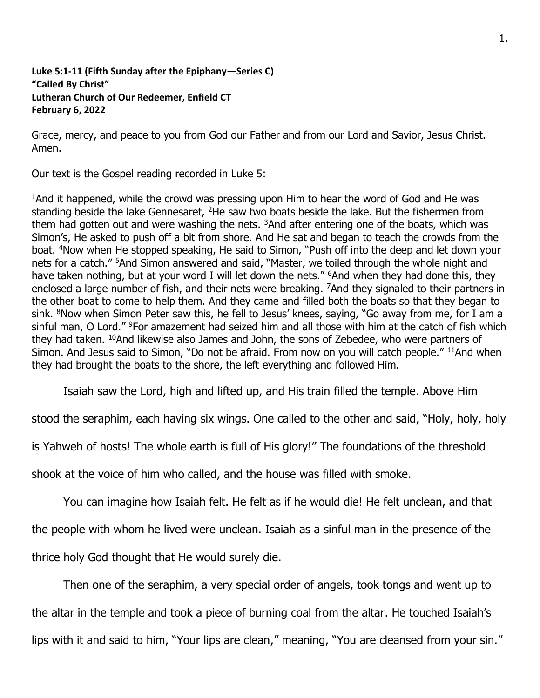## **Luke 5:1-11 (Fifth Sunday after the Epiphany—Series C) "Called By Christ" Lutheran Church of Our Redeemer, Enfield CT February 6, 2022**

Grace, mercy, and peace to you from God our Father and from our Lord and Savior, Jesus Christ. Amen.

Our text is the Gospel reading recorded in Luke 5:

<sup>1</sup>And it happened, while the crowd was pressing upon Him to hear the word of God and He was standing beside the lake Gennesaret, <sup>2</sup>He saw two boats beside the lake. But the fishermen from them had gotten out and were washing the nets.  $3$ And after entering one of the boats, which was Simon's, He asked to push off a bit from shore. And He sat and began to teach the crowds from the boat. <sup>4</sup>Now when He stopped speaking, He said to Simon, "Push off into the deep and let down your nets for a catch." <sup>5</sup>And Simon answered and said, "Master, we toiled through the whole night and have taken nothing, but at your word I will let down the nets." <sup>6</sup>And when they had done this, they enclosed a large number of fish, and their nets were breaking. <sup>7</sup>And they signaled to their partners in the other boat to come to help them. And they came and filled both the boats so that they began to sink. <sup>8</sup>Now when Simon Peter saw this, he fell to Jesus' knees, saying, "Go away from me, for I am a sinful man, O Lord." <sup>9</sup>For amazement had seized him and all those with him at the catch of fish which they had taken. <sup>10</sup>And likewise also James and John, the sons of Zebedee, who were partners of Simon. And Jesus said to Simon, "Do not be afraid. From now on you will catch people." <sup>11</sup>And when they had brought the boats to the shore, the left everything and followed Him.

Isaiah saw the Lord, high and lifted up, and His train filled the temple. Above Him

stood the seraphim, each having six wings. One called to the other and said, "Holy, holy, holy

is Yahweh of hosts! The whole earth is full of His glory!" The foundations of the threshold

shook at the voice of him who called, and the house was filled with smoke.

You can imagine how Isaiah felt. He felt as if he would die! He felt unclean, and that

the people with whom he lived were unclean. Isaiah as a sinful man in the presence of the

thrice holy God thought that He would surely die.

Then one of the seraphim, a very special order of angels, took tongs and went up to the altar in the temple and took a piece of burning coal from the altar. He touched Isaiah's lips with it and said to him, "Your lips are clean," meaning, "You are cleansed from your sin."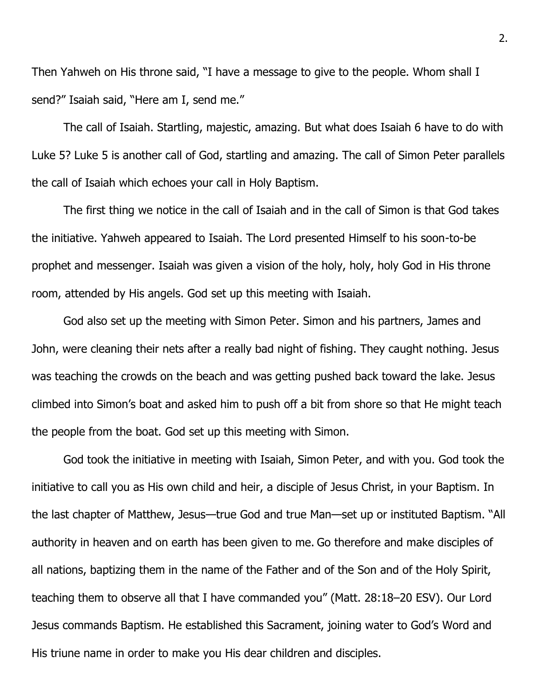Then Yahweh on His throne said, "I have a message to give to the people. Whom shall I send?" Isaiah said, "Here am I, send me."

The call of Isaiah. Startling, majestic, amazing. But what does Isaiah 6 have to do with Luke 5? Luke 5 is another call of God, startling and amazing. The call of Simon Peter parallels the call of Isaiah which echoes your call in Holy Baptism.

The first thing we notice in the call of Isaiah and in the call of Simon is that God takes the initiative. Yahweh appeared to Isaiah. The Lord presented Himself to his soon-to-be prophet and messenger. Isaiah was given a vision of the holy, holy, holy God in His throne room, attended by His angels. God set up this meeting with Isaiah.

God also set up the meeting with Simon Peter. Simon and his partners, James and John, were cleaning their nets after a really bad night of fishing. They caught nothing. Jesus was teaching the crowds on the beach and was getting pushed back toward the lake. Jesus climbed into Simon's boat and asked him to push off a bit from shore so that He might teach the people from the boat. God set up this meeting with Simon.

God took the initiative in meeting with Isaiah, Simon Peter, and with you. God took the initiative to call you as His own child and heir, a disciple of Jesus Christ, in your Baptism. In the last chapter of Matthew, Jesus—true God and true Man—set up or instituted Baptism. "All authority in heaven and on earth has been given to me. Go therefore and make disciples of all nations, baptizing them in the name of the Father and of the Son and of the Holy Spirit, teaching them to observe all that I have commanded you" (Matt. 28:18–20 ESV). Our Lord Jesus commands Baptism. He established this Sacrament, joining water to God's Word and His triune name in order to make you His dear children and disciples.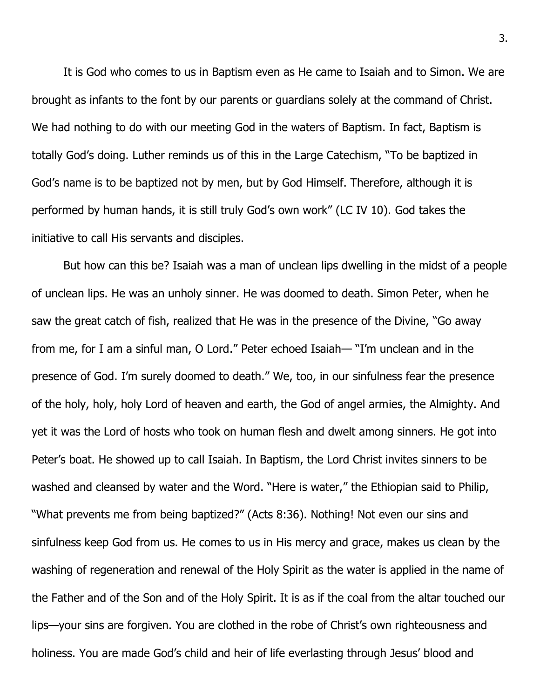It is God who comes to us in Baptism even as He came to Isaiah and to Simon. We are brought as infants to the font by our parents or guardians solely at the command of Christ. We had nothing to do with our meeting God in the waters of Baptism. In fact, Baptism is totally God's doing. Luther reminds us of this in the Large Catechism, "To be baptized in God's name is to be baptized not by men, but by God Himself. Therefore, although it is performed by human hands, it is still truly God's own work" (LC IV 10). God takes the initiative to call His servants and disciples.

But how can this be? Isaiah was a man of unclean lips dwelling in the midst of a people of unclean lips. He was an unholy sinner. He was doomed to death. Simon Peter, when he saw the great catch of fish, realized that He was in the presence of the Divine, "Go away from me, for I am a sinful man, O Lord." Peter echoed Isaiah— "I'm unclean and in the presence of God. I'm surely doomed to death." We, too, in our sinfulness fear the presence of the holy, holy, holy Lord of heaven and earth, the God of angel armies, the Almighty. And yet it was the Lord of hosts who took on human flesh and dwelt among sinners. He got into Peter's boat. He showed up to call Isaiah. In Baptism, the Lord Christ invites sinners to be washed and cleansed by water and the Word. "Here is water," the Ethiopian said to Philip, "What prevents me from being baptized?" (Acts 8:36). Nothing! Not even our sins and sinfulness keep God from us. He comes to us in His mercy and grace, makes us clean by the washing of regeneration and renewal of the Holy Spirit as the water is applied in the name of the Father and of the Son and of the Holy Spirit. It is as if the coal from the altar touched our lips—your sins are forgiven. You are clothed in the robe of Christ's own righteousness and holiness. You are made God's child and heir of life everlasting through Jesus' blood and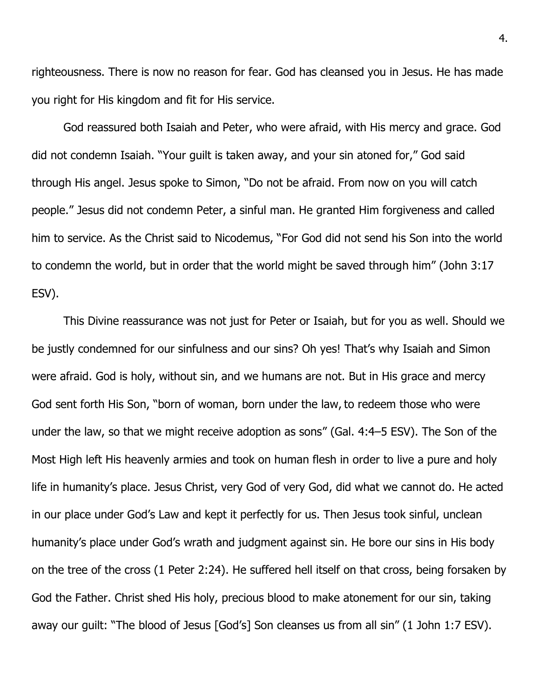righteousness. There is now no reason for fear. God has cleansed you in Jesus. He has made you right for His kingdom and fit for His service.

God reassured both Isaiah and Peter, who were afraid, with His mercy and grace. God did not condemn Isaiah. "Your guilt is taken away, and your sin atoned for," God said through His angel. Jesus spoke to Simon, "Do not be afraid. From now on you will catch people." Jesus did not condemn Peter, a sinful man. He granted Him forgiveness and called him to service. As the Christ said to Nicodemus, "For God did not send his Son into the world to condemn the world, but in order that the world might be saved through him" (John 3:17 ESV).

This Divine reassurance was not just for Peter or Isaiah, but for you as well. Should we be justly condemned for our sinfulness and our sins? Oh yes! That's why Isaiah and Simon were afraid. God is holy, without sin, and we humans are not. But in His grace and mercy God sent forth His Son, "born of woman, born under the law, to redeem those who were under the law, so that we might receive adoption as sons" (Gal. 4:4–5 ESV). The Son of the Most High left His heavenly armies and took on human flesh in order to live a pure and holy life in humanity's place. Jesus Christ, very God of very God, did what we cannot do. He acted in our place under God's Law and kept it perfectly for us. Then Jesus took sinful, unclean humanity's place under God's wrath and judgment against sin. He bore our sins in His body on the tree of the cross (1 Peter 2:24). He suffered hell itself on that cross, being forsaken by God the Father. Christ shed His holy, precious blood to make atonement for our sin, taking away our guilt: "The blood of Jesus [God's] Son cleanses us from all sin" (1 John 1:7 ESV).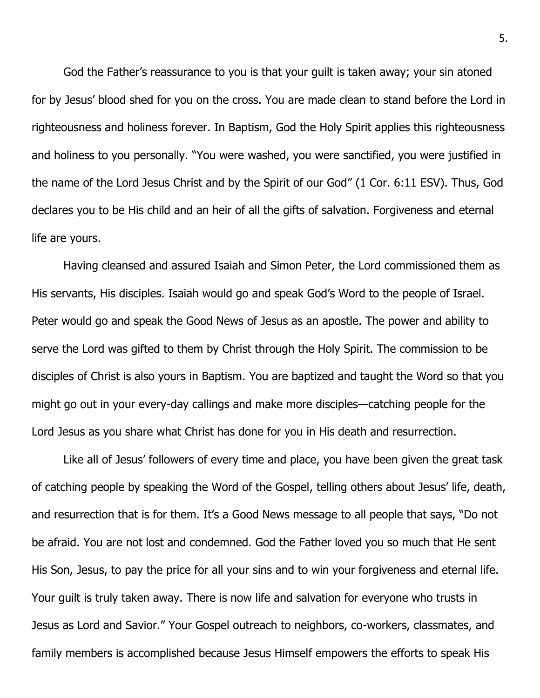God the Father's reassurance to you is that your guilt is taken away; your sin atoned for by Jesus' blood shed for you on the cross. You are made clean to stand before the Lord in righteousness and holiness forever. In Baptism, God the Holy Spirit applies this righteousness and holiness to you personally. "You were washed, you were sanctified, you were justified in the name of the Lord Jesus Christ and by the Spirit of our God" (1 Cor. 6:11 ESV). Thus, God declares you to be His child and an heir of all the gifts of salvation. Forgiveness and eternal life are yours.

Having cleansed and assured Isaiah and Simon Peter, the Lord commissioned them as His servants, His disciples. Isaiah would go and speak God's Word to the people of Israel. Peter would go and speak the Good News of Jesus as an apostle. The power and ability to serve the Lord was gifted to them by Christ through the Holy Spirit. The commission to be disciples of Christ is also yours in Baptism. You are baptized and taught the Word so that you might go out in your every-day callings and make more disciples—catching people for the Lord Jesus as you share what Christ has done for you in His death and resurrection.

Like all of Jesus' followers of every time and place, you have been given the great task of catching people by speaking the Word of the Gospel, telling others about Jesus' life, death, and resurrection that is for them. It's a Good News message to all people that says, "Do not be afraid. You are not lost and condemned. God the Father loved you so much that He sent His Son, Jesus, to pay the price for all your sins and to win your forgiveness and eternal life. Your guilt is truly taken away. There is now life and salvation for everyone who trusts in Jesus as Lord and Savior." Your Gospel outreach to neighbors, co-workers, classmates, and family members is accomplished because Jesus Himself empowers the efforts to speak His